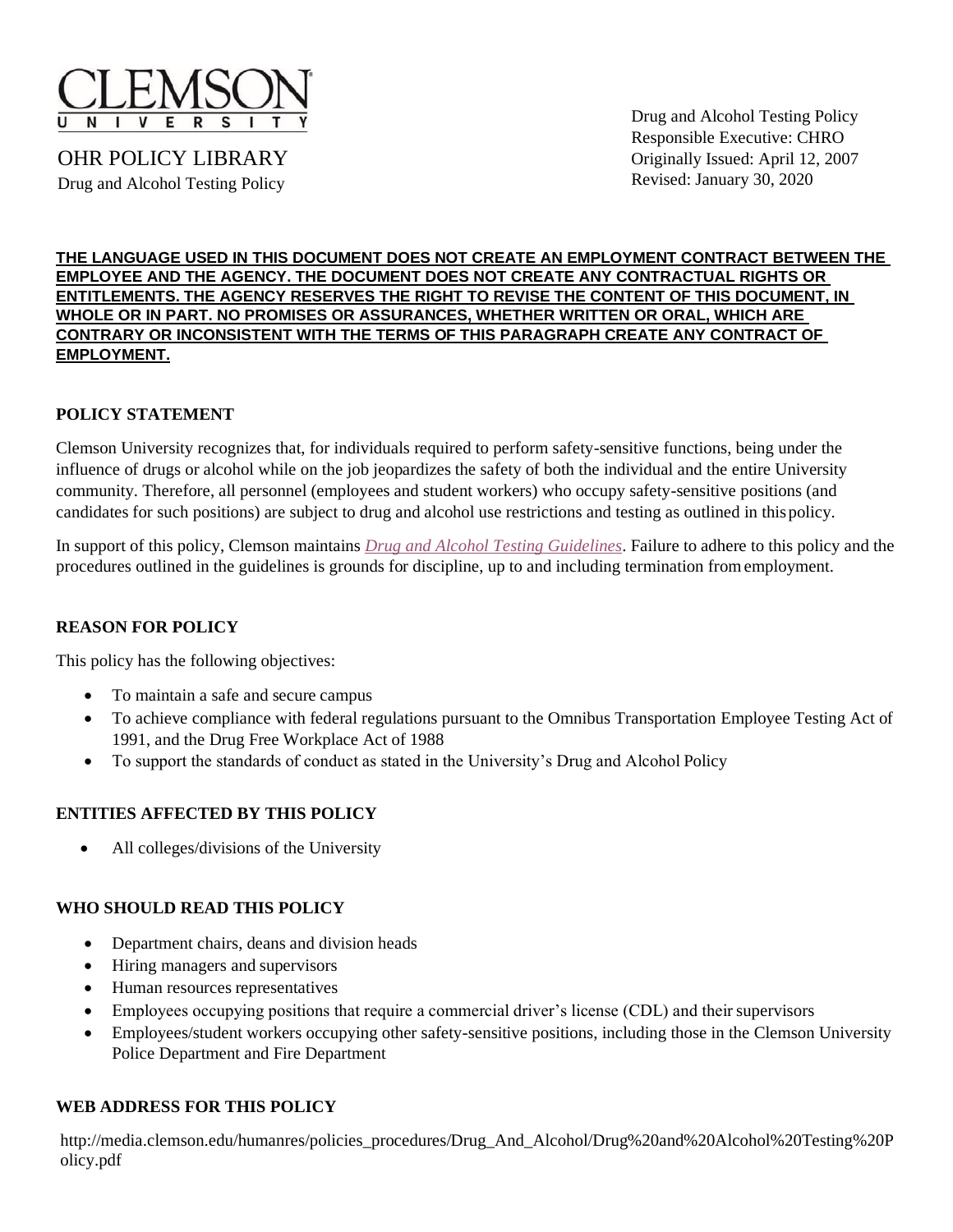

OHR POLICY LIBRARY Drug and Alcohol Testing Policy

Drug and Alcohol Testing Policy Responsible Executive: CHRO Originally Issued: April 12, 2007 Revised: January 30, 2020

#### **THE LANGUAGE USED IN THIS DOCUMENT DOES NOT CREATE AN EMPLOYMENT CONTRACT BETWEEN THE EMPLOYEE AND THE AGENCY. THE DOCUMENT DOES NOT CREATE ANY CONTRACTUAL RIGHTS OR ENTITLEMENTS. THE AGENCY RESERVES THE RIGHT TO REVISE THE CONTENT OF THIS DOCUMENT, IN WHOLE OR IN PART. NO PROMISES OR ASSURANCES, WHETHER WRITTEN OR ORAL, WHICH ARE CONTRARY OR INCONSISTENT WITH THE TERMS OF THIS PARAGRAPH CREATE ANY CONTRACT OF EMPLOYMENT.**

### **POLICY STATEMENT**

Clemson University recognizes that, for individuals required to perform safety-sensitive functions, being under the influence of drugs or alcohol while on the job jeopardizes the safety of both the individual and the entire University community. Therefore, all personnel (employees and student workers) who occupy safety-sensitive positions (and candidates for such positions) are subject to drug and alcohol use restrictions and testing as outlined in thispolicy.

In support of this policy, Clemson maintains *[Drug and Alcohol Testing Guidelines](http://media.clemson.edu/humanres/policies_procedures/Drug_And_Alcohol/Drug%20and%20Alcohol%20Testing%20Guidelines.pdf)*. Failure to adhere to this policy and the procedures outlined in the guidelines is grounds for discipline, up to and including termination fromemployment.

### **REASON FOR POLICY**

This policy has the following objectives:

- To maintain a safe and secure campus
- To achieve compliance with federal regulations pursuant to the Omnibus Transportation Employee Testing Act of 1991, and the Drug Free Workplace Act of 1988
- To support the standards of conduct as stated in the University's Drug and Alcohol Policy

### **ENTITIES AFFECTED BY THIS POLICY**

• All colleges/divisions of the University

### **WHO SHOULD READ THIS POLICY**

- Department chairs, deans and division heads
- Hiring managers and supervisors
- Human resources representatives
- Employees occupying positions that require a commercial driver's license (CDL) and their supervisors
- Employees/student workers occupying other safety-sensitive positions, including those in the Clemson University Police Department and Fire Department

#### **WEB ADDRESS FOR THIS POLICY**

[http://media.clemson.edu/humanres/policies\\_procedures/Drug\\_And\\_Alcohol/Drug%20and%20Alcohol%20Testing%20P](http://media.clemson.edu/humanres/policies_procedures/Drug_And_Alcohol/Drug%20and%20Alcohol%20Testing%20Policy.pdf) [olicy.pdf](http://media.clemson.edu/humanres/policies_procedures/Drug_And_Alcohol/Drug%20and%20Alcohol%20Testing%20Policy.pdf)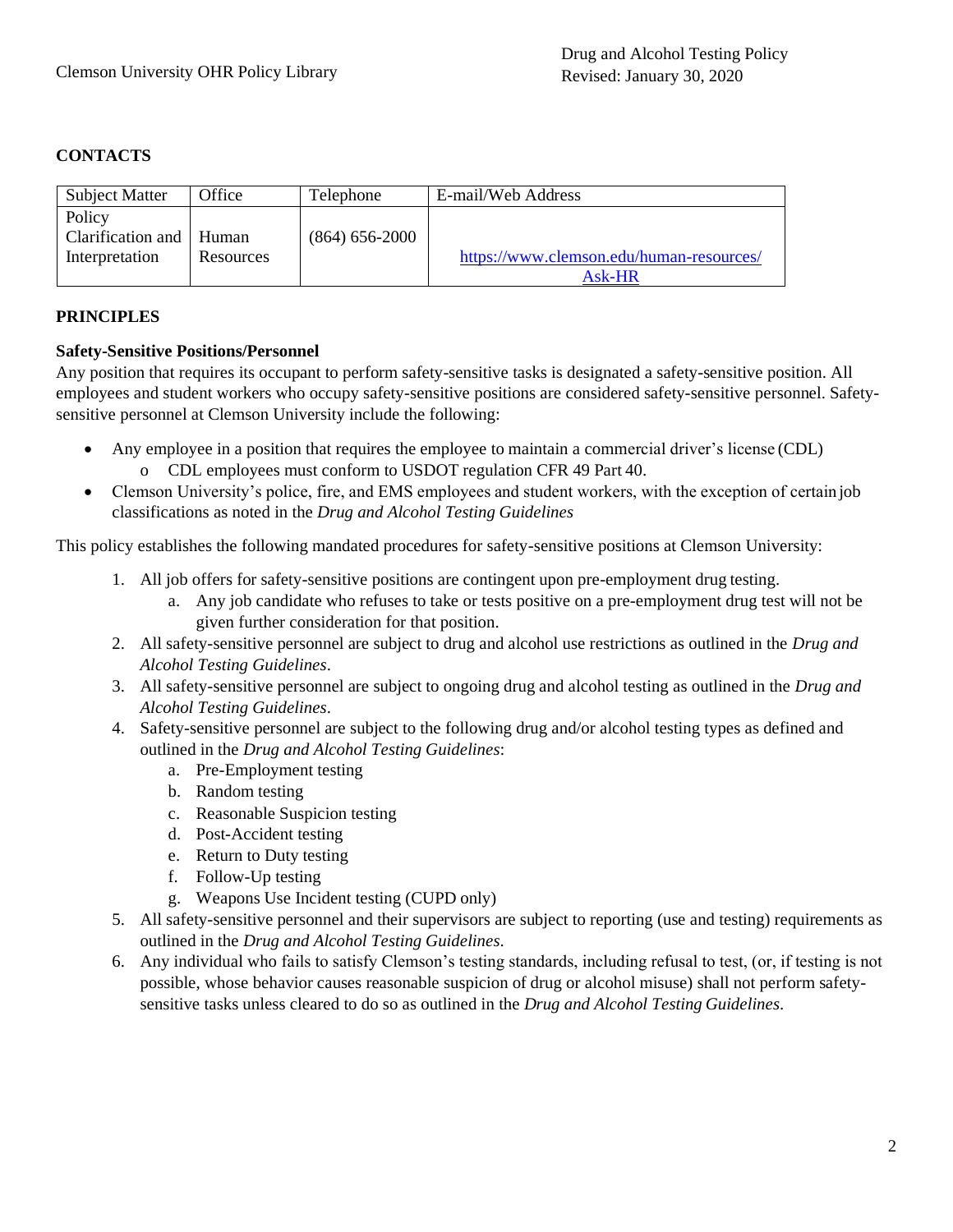# **CONTACTS**

| <b>Subject Matter</b> | Office    | Telephone          | E-mail/Web Address                       |
|-----------------------|-----------|--------------------|------------------------------------------|
| Policy                |           |                    |                                          |
| Clarification and     | Human     | $(864) 656 - 2000$ |                                          |
| Interpretation        | Resources |                    | https://www.clemson.edu/human-resources/ |
|                       |           |                    | Ask-HR                                   |

## **PRINCIPLES**

### **Safety-Sensitive Positions/Personnel**

Any position that requires its occupant to perform safety-sensitive tasks is designated a safety-sensitive position. All employees and student workers who occupy safety-sensitive positions are considered safety-sensitive personnel. Safetysensitive personnel at Clemson University include the following:

- Any employee in a position that requires the employee to maintain a commercial driver's license (CDL) o CDL employees must conform to USDOT regulation CFR 49 Part 40.
- Clemson University's police, fire, and EMS employees and student workers, with the exception of certain job classifications as noted in the *Drug and Alcohol Testing Guidelines*

This policy establishes the following mandated procedures for safety-sensitive positions at Clemson University:

- 1. All job offers for safety-sensitive positions are contingent upon pre-employment drug testing.
	- a. Any job candidate who refuses to take or tests positive on a pre-employment drug test will not be given further consideration for that position.
- 2. All safety-sensitive personnel are subject to drug and alcohol use restrictions as outlined in the *Drug and Alcohol Testing Guidelines*.
- 3. All safety-sensitive personnel are subject to ongoing drug and alcohol testing as outlined in the *Drug and Alcohol Testing Guidelines*.
- 4. Safety-sensitive personnel are subject to the following drug and/or alcohol testing types as defined and outlined in the *Drug and Alcohol Testing Guidelines*:
	- a. Pre-Employment testing
	- b. Random testing
	- c. Reasonable Suspicion testing
	- d. Post-Accident testing
	- e. Return to Duty testing
	- f. Follow-Up testing
	- g. Weapons Use Incident testing (CUPD only)
- 5. All safety-sensitive personnel and their supervisors are subject to reporting (use and testing) requirements as outlined in the *Drug and Alcohol Testing Guidelines*.
- 6. Any individual who fails to satisfy Clemson's testing standards, including refusal to test, (or, if testing is not possible, whose behavior causes reasonable suspicion of drug or alcohol misuse) shall not perform safetysensitive tasks unless cleared to do so as outlined in the *Drug and Alcohol Testing Guidelines*.